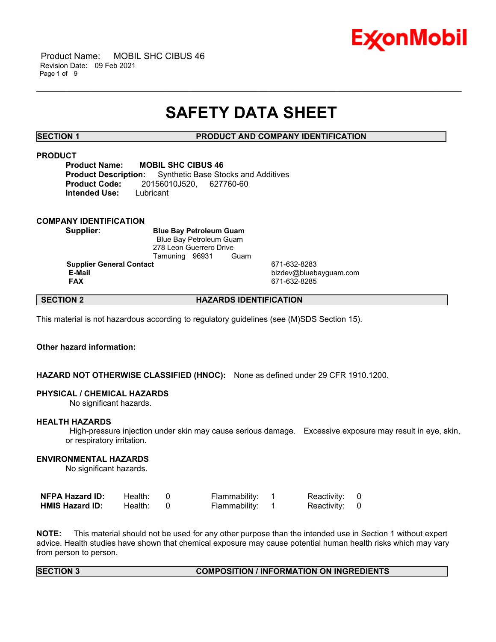

 Product Name: MOBIL SHC CIBUS 46 Revision Date: 09 Feb 2021 Page 1 of 9

# **SAFETY DATA SHEET**

\_\_\_\_\_\_\_\_\_\_\_\_\_\_\_\_\_\_\_\_\_\_\_\_\_\_\_\_\_\_\_\_\_\_\_\_\_\_\_\_\_\_\_\_\_\_\_\_\_\_\_\_\_\_\_\_\_\_\_\_\_\_\_\_\_\_\_\_\_\_\_\_\_\_\_\_\_\_\_\_\_\_\_\_\_\_\_\_\_\_\_\_\_\_\_\_\_\_\_\_\_\_\_\_\_\_\_\_\_\_\_\_\_\_\_\_\_\_

### **SECTION 1 PRODUCT AND COMPANY IDENTIFICATION**

# **PRODUCT**

**Product Name: MOBIL SHC CIBUS 46 Product Description:** Synthetic Base Stocks and Additives **Product Code:** 20156010J520, 627760-60 **Intended Use:** Lubricant

### **COMPANY IDENTIFICATION**

**Supplier: Blue Bay Petroleum Guam** Blue Bay Petroleum Guam 278 Leon Guerrero Drive Tamuning 96931 Guam

**Supplier General Contact** 671-632-8283<br> **E-Mail** bizdev@blueb

 **E-Mail** bizdev@bluebayguam.com  **FAX** 671-632-8285

# **SECTION 2 HAZARDS IDENTIFICATION**

This material is not hazardous according to regulatory guidelines (see (M)SDS Section 15).

# **Other hazard information:**

### **HAZARD NOT OTHERWISE CLASSIFIED (HNOC):** None as defined under 29 CFR 1910.1200.

#### **PHYSICAL / CHEMICAL HAZARDS**

No significant hazards.

#### **HEALTH HAZARDS**

 High-pressure injection under skin may cause serious damage. Excessive exposure may result in eye, skin, or respiratory irritation.

### **ENVIRONMENTAL HAZARDS**

No significant hazards.

| <b>NFPA Hazard ID:</b> | Health: | Flammability: | Reactivity: 0 |  |
|------------------------|---------|---------------|---------------|--|
| <b>HMIS Hazard ID:</b> | Health: | Flammability: | Reactivity: 0 |  |

**NOTE:** This material should not be used for any other purpose than the intended use in Section 1 without expert advice. Health studies have shown that chemical exposure may cause potential human health risks which may vary from person to person.

#### **SECTION 3 COMPOSITION / INFORMATION ON INGREDIENTS**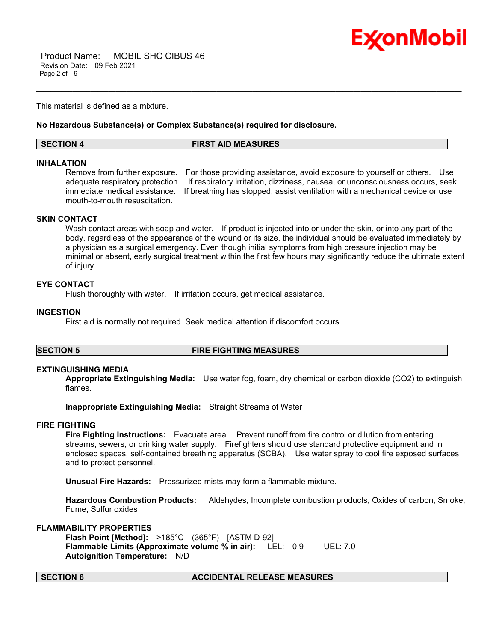

 Product Name: MOBIL SHC CIBUS 46 Revision Date: 09 Feb 2021 Page 2 of 9

This material is defined as a mixture.

#### **No Hazardous Substance(s) or Complex Substance(s) required for disclosure.**

#### **SECTION 4 FIRST AID MEASURES**

#### **INHALATION**

Remove from further exposure. For those providing assistance, avoid exposure to yourself or others. Use adequate respiratory protection. If respiratory irritation, dizziness, nausea, or unconsciousness occurs, seek immediate medical assistance. If breathing has stopped, assist ventilation with a mechanical device or use mouth-to-mouth resuscitation.

\_\_\_\_\_\_\_\_\_\_\_\_\_\_\_\_\_\_\_\_\_\_\_\_\_\_\_\_\_\_\_\_\_\_\_\_\_\_\_\_\_\_\_\_\_\_\_\_\_\_\_\_\_\_\_\_\_\_\_\_\_\_\_\_\_\_\_\_\_\_\_\_\_\_\_\_\_\_\_\_\_\_\_\_\_\_\_\_\_\_\_\_\_\_\_\_\_\_\_\_\_\_\_\_\_\_\_\_\_\_\_\_\_\_\_\_\_\_

### **SKIN CONTACT**

Wash contact areas with soap and water. If product is injected into or under the skin, or into any part of the body, regardless of the appearance of the wound or its size, the individual should be evaluated immediately by a physician as a surgical emergency. Even though initial symptoms from high pressure injection may be minimal or absent, early surgical treatment within the first few hours may significantly reduce the ultimate extent of injury.

#### **EYE CONTACT**

Flush thoroughly with water. If irritation occurs, get medical assistance.

#### **INGESTION**

First aid is normally not required. Seek medical attention if discomfort occurs.

#### **SECTION 5 FIRE FIGHTING MEASURES**

#### **EXTINGUISHING MEDIA**

**Appropriate Extinguishing Media:** Use water fog, foam, dry chemical or carbon dioxide (CO2) to extinguish flames.

**Inappropriate Extinguishing Media:** Straight Streams of Water

#### **FIRE FIGHTING**

**Fire Fighting Instructions:** Evacuate area. Prevent runoff from fire control or dilution from entering streams, sewers, or drinking water supply. Firefighters should use standard protective equipment and in enclosed spaces, self-contained breathing apparatus (SCBA). Use water spray to cool fire exposed surfaces and to protect personnel.

**Unusual Fire Hazards:** Pressurized mists may form a flammable mixture.

**Hazardous Combustion Products:** Aldehydes, Incomplete combustion products, Oxides of carbon, Smoke, Fume, Sulfur oxides

### **FLAMMABILITY PROPERTIES**

**Flash Point [Method]:** >185°C (365°F) [ASTM D-92] **Flammable Limits (Approximate volume % in air):** LEL: 0.9 UEL: 7.0 **Autoignition Temperature:** N/D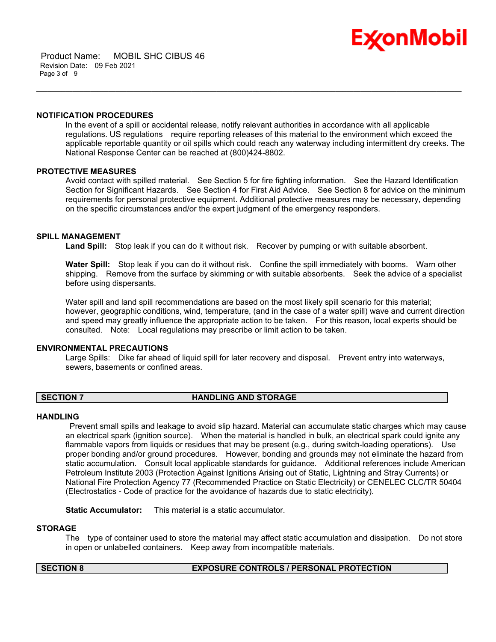

 Product Name: MOBIL SHC CIBUS 46 Revision Date: 09 Feb 2021 Page 3 of 9

#### **NOTIFICATION PROCEDURES**

In the event of a spill or accidental release, notify relevant authorities in accordance with all applicable regulations. US regulations require reporting releases of this material to the environment which exceed the applicable reportable quantity or oil spills which could reach any waterway including intermittent dry creeks. The National Response Center can be reached at (800)424-8802.

\_\_\_\_\_\_\_\_\_\_\_\_\_\_\_\_\_\_\_\_\_\_\_\_\_\_\_\_\_\_\_\_\_\_\_\_\_\_\_\_\_\_\_\_\_\_\_\_\_\_\_\_\_\_\_\_\_\_\_\_\_\_\_\_\_\_\_\_\_\_\_\_\_\_\_\_\_\_\_\_\_\_\_\_\_\_\_\_\_\_\_\_\_\_\_\_\_\_\_\_\_\_\_\_\_\_\_\_\_\_\_\_\_\_\_\_\_\_

#### **PROTECTIVE MEASURES**

Avoid contact with spilled material. See Section 5 for fire fighting information. See the Hazard Identification Section for Significant Hazards. See Section 4 for First Aid Advice. See Section 8 for advice on the minimum requirements for personal protective equipment. Additional protective measures may be necessary, depending on the specific circumstances and/or the expert judgment of the emergency responders.

#### **SPILL MANAGEMENT**

Land Spill: Stop leak if you can do it without risk. Recover by pumping or with suitable absorbent.

**Water Spill:** Stop leak if you can do it without risk. Confine the spill immediately with booms. Warn other shipping. Remove from the surface by skimming or with suitable absorbents. Seek the advice of a specialist before using dispersants.

Water spill and land spill recommendations are based on the most likely spill scenario for this material; however, geographic conditions, wind, temperature, (and in the case of a water spill) wave and current direction and speed may greatly influence the appropriate action to be taken. For this reason, local experts should be consulted. Note: Local regulations may prescribe or limit action to be taken.

#### **ENVIRONMENTAL PRECAUTIONS**

Large Spills: Dike far ahead of liquid spill for later recovery and disposal. Prevent entry into waterways, sewers, basements or confined areas.

### **SECTION 7 HANDLING AND STORAGE**

#### **HANDLING**

 Prevent small spills and leakage to avoid slip hazard. Material can accumulate static charges which may cause an electrical spark (ignition source). When the material is handled in bulk, an electrical spark could ignite any flammable vapors from liquids or residues that may be present (e.g., during switch-loading operations). Use proper bonding and/or ground procedures. However, bonding and grounds may not eliminate the hazard from static accumulation. Consult local applicable standards for guidance. Additional references include American Petroleum Institute 2003 (Protection Against Ignitions Arising out of Static, Lightning and Stray Currents) or National Fire Protection Agency 77 (Recommended Practice on Static Electricity) or CENELEC CLC/TR 50404 (Electrostatics - Code of practice for the avoidance of hazards due to static electricity).

**Static Accumulator:** This material is a static accumulator.

#### **STORAGE**

The type of container used to store the material may affect static accumulation and dissipation. Do not store in open or unlabelled containers. Keep away from incompatible materials.

#### **SECTION 8 EXPOSURE CONTROLS / PERSONAL PROTECTION**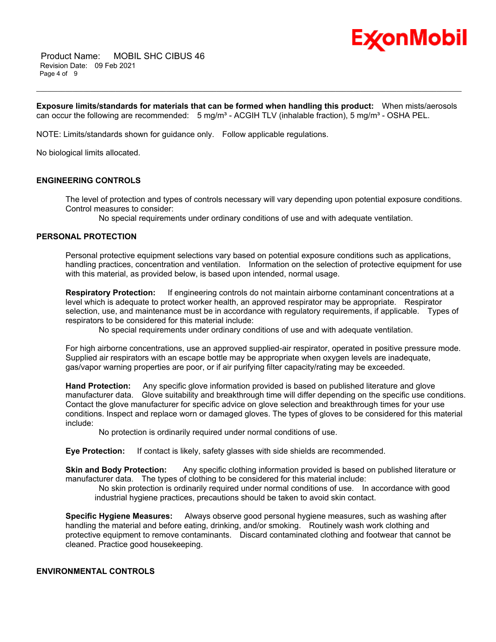

 Product Name: MOBIL SHC CIBUS 46 Revision Date: 09 Feb 2021 Page 4 of 9

**Exposure limits/standards for materials that can be formed when handling this product:** When mists/aerosols can occur the following are recommended:  $5 \text{ mg/m}^3$  - ACGIH TLV (inhalable fraction),  $5 \text{ mg/m}^3$  - OSHA PEL.

\_\_\_\_\_\_\_\_\_\_\_\_\_\_\_\_\_\_\_\_\_\_\_\_\_\_\_\_\_\_\_\_\_\_\_\_\_\_\_\_\_\_\_\_\_\_\_\_\_\_\_\_\_\_\_\_\_\_\_\_\_\_\_\_\_\_\_\_\_\_\_\_\_\_\_\_\_\_\_\_\_\_\_\_\_\_\_\_\_\_\_\_\_\_\_\_\_\_\_\_\_\_\_\_\_\_\_\_\_\_\_\_\_\_\_\_\_\_

NOTE: Limits/standards shown for guidance only. Follow applicable regulations.

No biological limits allocated.

### **ENGINEERING CONTROLS**

The level of protection and types of controls necessary will vary depending upon potential exposure conditions. Control measures to consider:

No special requirements under ordinary conditions of use and with adequate ventilation.

#### **PERSONAL PROTECTION**

Personal protective equipment selections vary based on potential exposure conditions such as applications, handling practices, concentration and ventilation. Information on the selection of protective equipment for use with this material, as provided below, is based upon intended, normal usage.

**Respiratory Protection:** If engineering controls do not maintain airborne contaminant concentrations at a level which is adequate to protect worker health, an approved respirator may be appropriate. Respirator selection, use, and maintenance must be in accordance with regulatory requirements, if applicable. Types of respirators to be considered for this material include:

No special requirements under ordinary conditions of use and with adequate ventilation.

For high airborne concentrations, use an approved supplied-air respirator, operated in positive pressure mode. Supplied air respirators with an escape bottle may be appropriate when oxygen levels are inadequate, gas/vapor warning properties are poor, or if air purifying filter capacity/rating may be exceeded.

**Hand Protection:** Any specific glove information provided is based on published literature and glove manufacturer data. Glove suitability and breakthrough time will differ depending on the specific use conditions. Contact the glove manufacturer for specific advice on glove selection and breakthrough times for your use conditions. Inspect and replace worn or damaged gloves. The types of gloves to be considered for this material include:

No protection is ordinarily required under normal conditions of use.

**Eye Protection:** If contact is likely, safety glasses with side shields are recommended.

**Skin and Body Protection:** Any specific clothing information provided is based on published literature or manufacturer data. The types of clothing to be considered for this material include:

 No skin protection is ordinarily required under normal conditions of use. In accordance with good industrial hygiene practices, precautions should be taken to avoid skin contact.

**Specific Hygiene Measures:** Always observe good personal hygiene measures, such as washing after handling the material and before eating, drinking, and/or smoking. Routinely wash work clothing and protective equipment to remove contaminants. Discard contaminated clothing and footwear that cannot be cleaned. Practice good housekeeping.

### **ENVIRONMENTAL CONTROLS**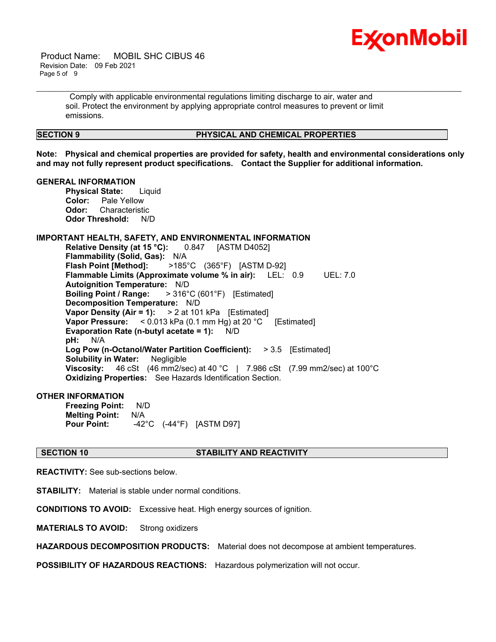

 Product Name: MOBIL SHC CIBUS 46 Revision Date: 09 Feb 2021 Page 5 of 9

> Comply with applicable environmental regulations limiting discharge to air, water and soil. Protect the environment by applying appropriate control measures to prevent or limit emissions.

#### **SECTION 9 PHYSICAL AND CHEMICAL PROPERTIES**

**Note: Physical and chemical properties are provided for safety, health and environmental considerations only and may not fully represent product specifications. Contact the Supplier for additional information.**

\_\_\_\_\_\_\_\_\_\_\_\_\_\_\_\_\_\_\_\_\_\_\_\_\_\_\_\_\_\_\_\_\_\_\_\_\_\_\_\_\_\_\_\_\_\_\_\_\_\_\_\_\_\_\_\_\_\_\_\_\_\_\_\_\_\_\_\_\_\_\_\_\_\_\_\_\_\_\_\_\_\_\_\_\_\_\_\_\_\_\_\_\_\_\_\_\_\_\_\_\_\_\_\_\_\_\_\_\_\_\_\_\_\_\_\_\_\_

#### **GENERAL INFORMATION**

**Physical State:** Liquid **Color:** Pale Yellow **Odor:** Characteristic **Odor Threshold:** N/D

### **IMPORTANT HEALTH, SAFETY, AND ENVIRONMENTAL INFORMATION**

**Relative Density (at 15 °C):** 0.847 [ASTM D4052] **Flammability (Solid, Gas):** N/A **Flash Point [Method]:** >185°C (365°F) [ASTM D-92] **Flammable Limits (Approximate volume % in air):** LEL: 0.9 UEL: 7.0 **Autoignition Temperature:** N/D **Boiling Point / Range:** > 316°C (601°F) [Estimated] **Decomposition Temperature:** N/D **Vapor Density (Air = 1):** > 2 at 101 kPa [Estimated] **Vapor Pressure:** < 0.013 kPa (0.1 mm Hg) at 20 °C [Estimated] **Evaporation Rate (n-butyl acetate = 1):** N/D **pH:** N/A **Log Pow (n-Octanol/Water Partition Coefficient):** > 3.5 [Estimated] **Solubility in Water:** Negligible **Viscosity:** 46 cSt (46 mm2/sec) at 40 °C | 7.986 cSt (7.99 mm2/sec) at 100 °C **Oxidizing Properties:** See Hazards Identification Section.

# **OTHER INFORMATION**

**Freezing Point:** N/D **Melting Point:** N/A **Pour Point:** -42°C (-44°F) [ASTM D97]

#### **SECTION 10 STABILITY AND REACTIVITY**

**REACTIVITY:** See sub-sections below.

**STABILITY:** Material is stable under normal conditions.

**CONDITIONS TO AVOID:** Excessive heat. High energy sources of ignition.

**MATERIALS TO AVOID:** Strong oxidizers

**HAZARDOUS DECOMPOSITION PRODUCTS:** Material does not decompose at ambient temperatures.

**POSSIBILITY OF HAZARDOUS REACTIONS:** Hazardous polymerization will not occur.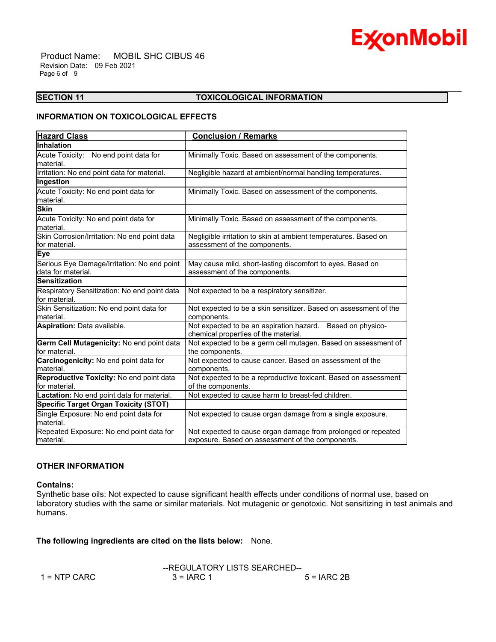

 Product Name: MOBIL SHC CIBUS 46 Revision Date: 09 Feb 2021 Page 6 of 9

### **SECTION 11 TOXICOLOGICAL INFORMATION**

\_\_\_\_\_\_\_\_\_\_\_\_\_\_\_\_\_\_\_\_\_\_\_\_\_\_\_\_\_\_\_\_\_\_\_\_\_\_\_\_\_\_\_\_\_\_\_\_\_\_\_\_\_\_\_\_\_\_\_\_\_\_\_\_\_\_\_\_\_\_\_\_\_\_\_\_\_\_\_\_\_\_\_\_\_\_\_\_\_\_\_\_\_\_\_\_\_\_\_\_\_\_\_\_\_\_\_\_\_\_\_\_\_\_\_\_\_\_

# **INFORMATION ON TOXICOLOGICAL EFFECTS**

| <b>Hazard Class</b>                                               | <b>Conclusion / Remarks</b>                                                                                       |
|-------------------------------------------------------------------|-------------------------------------------------------------------------------------------------------------------|
| <b>Inhalation</b>                                                 |                                                                                                                   |
| Acute Toxicity: No end point data for<br>material.                | Minimally Toxic. Based on assessment of the components.                                                           |
| Irritation: No end point data for material.                       | Negligible hazard at ambient/normal handling temperatures.                                                        |
| Ingestion                                                         |                                                                                                                   |
| Acute Toxicity: No end point data for<br>material.                | Minimally Toxic. Based on assessment of the components.                                                           |
| <b>Skin</b>                                                       |                                                                                                                   |
| Acute Toxicity: No end point data for<br>material.                | Minimally Toxic. Based on assessment of the components.                                                           |
| Skin Corrosion/Irritation: No end point data<br>for material.     | Negligible irritation to skin at ambient temperatures. Based on<br>assessment of the components.                  |
| <b>Eye</b>                                                        |                                                                                                                   |
| Serious Eye Damage/Irritation: No end point<br>data for material. | May cause mild, short-lasting discomfort to eyes. Based on<br>assessment of the components.                       |
| <b>Sensitization</b>                                              |                                                                                                                   |
| Respiratory Sensitization: No end point data<br>for material.     | Not expected to be a respiratory sensitizer.                                                                      |
| Skin Sensitization: No end point data for<br>material.            | Not expected to be a skin sensitizer. Based on assessment of the<br>components.                                   |
| Aspiration: Data available.                                       | Not expected to be an aspiration hazard. Based on physico-<br>chemical properties of the material.                |
| Germ Cell Mutagenicity: No end point data<br>for material.        | Not expected to be a germ cell mutagen. Based on assessment of<br>the components.                                 |
| Carcinogenicity: No end point data for<br>material.               | Not expected to cause cancer. Based on assessment of the<br>components.                                           |
| Reproductive Toxicity: No end point data<br>for material.         | Not expected to be a reproductive toxicant. Based on assessment<br>of the components.                             |
| Lactation: No end point data for material.                        | Not expected to cause harm to breast-fed children.                                                                |
| <b>Specific Target Organ Toxicity (STOT)</b>                      |                                                                                                                   |
| Single Exposure: No end point data for<br>material.               | Not expected to cause organ damage from a single exposure.                                                        |
| Repeated Exposure: No end point data for<br>material.             | Not expected to cause organ damage from prolonged or repeated<br>exposure. Based on assessment of the components. |

#### **OTHER INFORMATION**

#### **Contains:**

Synthetic base oils: Not expected to cause significant health effects under conditions of normal use, based on laboratory studies with the same or similar materials. Not mutagenic or genotoxic. Not sensitizing in test animals and humans.

**The following ingredients are cited on the lists below:** None.

|                |              | --REGULATORY LISTS SEARCHED-- |  |  |
|----------------|--------------|-------------------------------|--|--|
| $1 =$ NTP CARC | $3 = IARC 1$ | $5 = IARC2B$                  |  |  |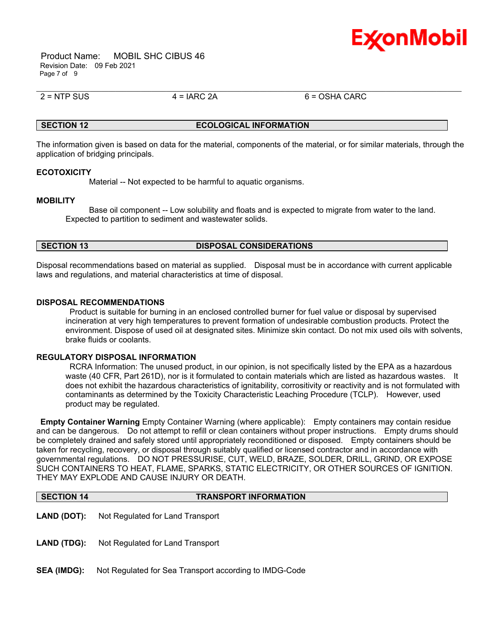

 Product Name: MOBIL SHC CIBUS 46 Revision Date: 09 Feb 2021 Page 7 of 9

 $2 = NTP$  SUS  $4 = IARC$  2A 6 = OSHA CARC

# **SECTION 12 ECOLOGICAL INFORMATION**

\_\_\_\_\_\_\_\_\_\_\_\_\_\_\_\_\_\_\_\_\_\_\_\_\_\_\_\_\_\_\_\_\_\_\_\_\_\_\_\_\_\_\_\_\_\_\_\_\_\_\_\_\_\_\_\_\_\_\_\_\_\_\_\_\_\_\_\_\_\_\_\_\_\_\_\_\_\_\_\_\_\_\_\_\_\_\_\_\_\_\_\_\_\_\_\_\_\_\_\_\_\_\_\_\_\_\_\_\_\_\_\_\_\_\_\_\_\_

The information given is based on data for the material, components of the material, or for similar materials, through the application of bridging principals.

#### **ECOTOXICITY**

Material -- Not expected to be harmful to aquatic organisms.

#### **MOBILITY**

 Base oil component -- Low solubility and floats and is expected to migrate from water to the land. Expected to partition to sediment and wastewater solids.

#### **SECTION 13 DISPOSAL CONSIDERATIONS**

Disposal recommendations based on material as supplied. Disposal must be in accordance with current applicable laws and regulations, and material characteristics at time of disposal.

#### **DISPOSAL RECOMMENDATIONS**

 Product is suitable for burning in an enclosed controlled burner for fuel value or disposal by supervised incineration at very high temperatures to prevent formation of undesirable combustion products. Protect the environment. Dispose of used oil at designated sites. Minimize skin contact. Do not mix used oils with solvents, brake fluids or coolants.

#### **REGULATORY DISPOSAL INFORMATION**

 RCRA Information: The unused product, in our opinion, is not specifically listed by the EPA as a hazardous waste (40 CFR, Part 261D), nor is it formulated to contain materials which are listed as hazardous wastes. It does not exhibit the hazardous characteristics of ignitability, corrositivity or reactivity and is not formulated with contaminants as determined by the Toxicity Characteristic Leaching Procedure (TCLP). However, used product may be regulated.

**Empty Container Warning** Empty Container Warning (where applicable): Empty containers may contain residue and can be dangerous. Do not attempt to refill or clean containers without proper instructions. Empty drums should be completely drained and safely stored until appropriately reconditioned or disposed. Empty containers should be taken for recycling, recovery, or disposal through suitably qualified or licensed contractor and in accordance with governmental regulations. DO NOT PRESSURISE, CUT, WELD, BRAZE, SOLDER, DRILL, GRIND, OR EXPOSE SUCH CONTAINERS TO HEAT, FLAME, SPARKS, STATIC ELECTRICITY, OR OTHER SOURCES OF IGNITION. THEY MAY EXPLODE AND CAUSE INJURY OR DEATH.

|  | <b>SECTION 14</b> | <b>TRANSPORT INFORMATION</b> |
|--|-------------------|------------------------------|
|--|-------------------|------------------------------|

- **LAND (DOT):** Not Regulated for Land Transport
- LAND (TDG): Not Regulated for Land Transport
- **SEA (IMDG):** Not Regulated for Sea Transport according to IMDG-Code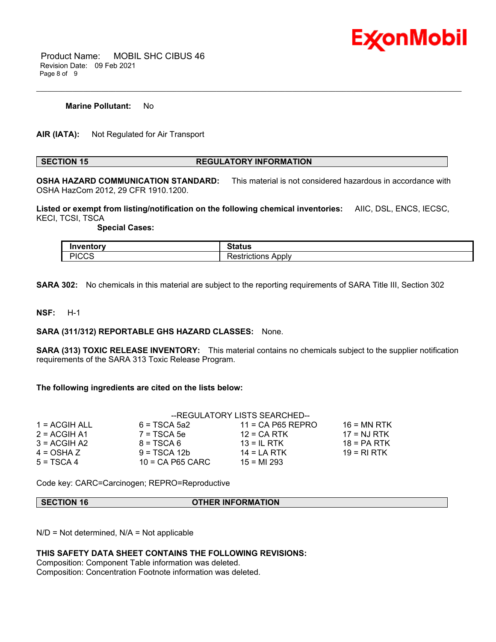

 Product Name: MOBIL SHC CIBUS 46 Revision Date: 09 Feb 2021 Page 8 of 9

#### **Marine Pollutant:** No

**AIR (IATA):** Not Regulated for Air Transport

#### **SECTION 15 REGULATORY INFORMATION**

\_\_\_\_\_\_\_\_\_\_\_\_\_\_\_\_\_\_\_\_\_\_\_\_\_\_\_\_\_\_\_\_\_\_\_\_\_\_\_\_\_\_\_\_\_\_\_\_\_\_\_\_\_\_\_\_\_\_\_\_\_\_\_\_\_\_\_\_\_\_\_\_\_\_\_\_\_\_\_\_\_\_\_\_\_\_\_\_\_\_\_\_\_\_\_\_\_\_\_\_\_\_\_\_\_\_\_\_\_\_\_\_\_\_\_\_\_\_

**OSHA HAZARD COMMUNICATION STANDARD:** This material is not considered hazardous in accordance with OSHA HazCom 2012, 29 CFR 1910.1200.

**Listed or exempt from listing/notification on the following chemical inventories:** AIIC, DSL, ENCS, IECSC, KECI, TCSI, TSCA

 **Special Cases:**

| Inventory    | 24.4<br>แนร               |
|--------------|---------------------------|
| <b>PICCS</b> | ADL<br>`nlv<br>ור<br>ாமாட |

**SARA 302:** No chemicals in this material are subject to the reporting requirements of SARA Title III, Section 302

### **NSF:** H-1

### **SARA (311/312) REPORTABLE GHS HAZARD CLASSES:** None.

**SARA (313) TOXIC RELEASE INVENTORY:** This material contains no chemicals subject to the supplier notification requirements of the SARA 313 Toxic Release Program.

#### **The following ingredients are cited on the lists below:**

|                 | --REGULATORY LISTS SEARCHED-- |                     |               |
|-----------------|-------------------------------|---------------------|---------------|
| $1 = ACGIH ALL$ | $6 = TSCA 5a2$                | $11 = CA$ P65 REPRO | $16$ = MN RTK |
| $2 = ACGIH A1$  | $7 = TSCA5e$                  | $12$ = CA RTK       | $17 = NJ RTK$ |
| $3 = ACGIH A2$  | $8 = TSCA6$                   | $13 = IL$ RTK       | $18 = PA RTK$ |
| 4 = OSHA Z      | $9 = TSCA 12b$                | 14 = LA RTK         | 19 = RI RTK   |
| $5 = TSCA4$     | $10 = CA$ P65 CARC            | $15 = M1 293$       |               |

Code key: CARC=Carcinogen; REPRO=Reproductive

#### **SECTION 16 OTHER INFORMATION**

 $N/D$  = Not determined,  $N/A$  = Not applicable

### **THIS SAFETY DATA SHEET CONTAINS THE FOLLOWING REVISIONS:**

Composition: Component Table information was deleted. Composition: Concentration Footnote information was deleted.